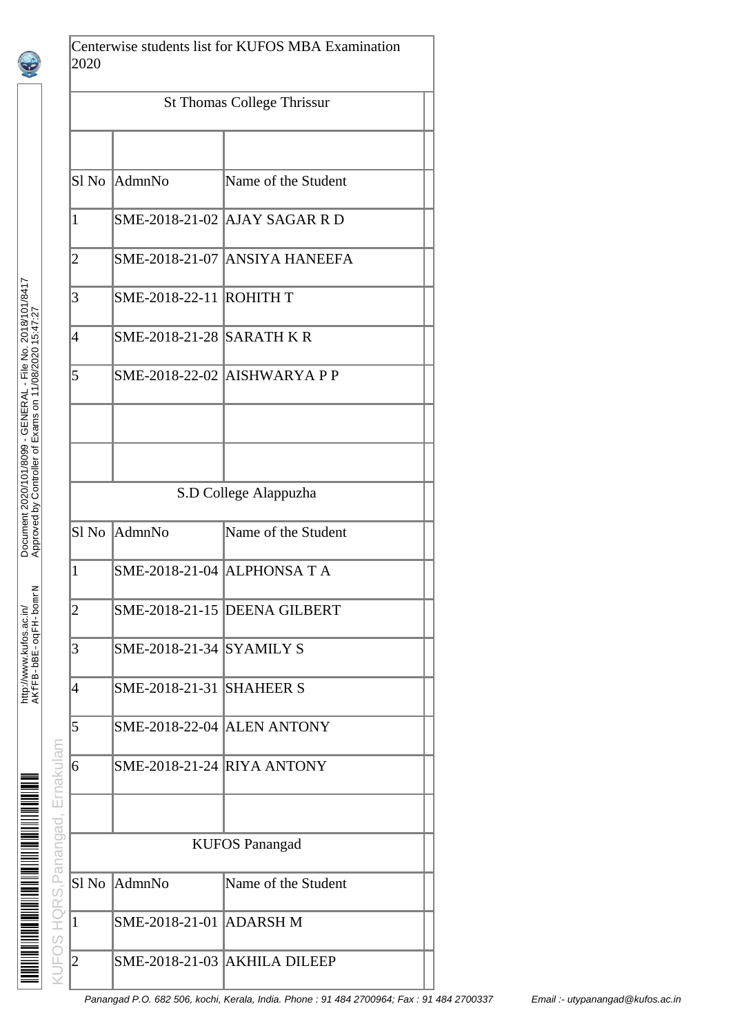|                                                                                                                     |      | $\overline{c}$ | <b>SMF</b>  |
|---------------------------------------------------------------------------------------------------------------------|------|----------------|-------------|
|                                                                                                                     |      | 3              | <b>SMF</b>  |
|                                                                                                                     |      | 4              | <b>SMF</b>  |
|                                                                                                                     |      | 5              | <b>SME</b>  |
|                                                                                                                     |      |                |             |
| Document 2020/101/8099 - GENERAL - File No. 2018/101/8417<br>Approved by Controller of Exams on 11/08/2020 15:47:27 |      |                |             |
|                                                                                                                     |      | Sl No          | Adm         |
|                                                                                                                     |      | $\overline{1}$ | <b>SMF</b>  |
| AKfFB-bBE-ogFH-bomrN                                                                                                |      | $\overline{a}$ | <b>SMF</b>  |
| http://www.kufos.ac.in/                                                                                             |      | 3              | <b>SMF</b>  |
|                                                                                                                     |      | 4              | <b>SMF</b>  |
|                                                                                                                     |      | $\overline{5}$ | <b>SMF</b>  |
|                                                                                                                     | ulan | 6              | <b>SMF</b>  |
|                                                                                                                     | J    |                |             |
|                                                                                                                     |      |                |             |
|                                                                                                                     |      | Sl No          | Adm         |
|                                                                                                                     |      | $\mathbf 1$    | SME         |
|                                                                                                                     |      | $\overline{c}$ | SMI         |
|                                                                                                                     |      |                | Panangad P. |
|                                                                                                                     |      |                |             |

Centerwise students list for KUFOS MBA Examination 2020

|                          | <b>St Thomas College Thrissur</b> |                                     |  |  |  |  |
|--------------------------|-----------------------------------|-------------------------------------|--|--|--|--|
|                          |                                   |                                     |  |  |  |  |
| Sl <sub>No</sub>         | AdmnNo                            | Name of the Student                 |  |  |  |  |
| $\mathbf{1}$             |                                   | SME-2018-21-02 AJAY SAGAR R D       |  |  |  |  |
| $\overline{2}$           |                                   | SME-2018-21-07 ANSIYA HANEEFA       |  |  |  |  |
| 3                        | <b>SME-2018-22-11 ROHITH T</b>    |                                     |  |  |  |  |
| $\overline{\mathcal{A}}$ | <b>SME-2018-21-28 SARATH K R</b>  |                                     |  |  |  |  |
| 5                        |                                   | <b>SME-2018-22-02 AISHWARYA P P</b> |  |  |  |  |
|                          |                                   |                                     |  |  |  |  |
|                          |                                   |                                     |  |  |  |  |
|                          |                                   | S.D College Alappuzha               |  |  |  |  |
| Sl <sub>No</sub>         | AdmnNo                            | Name of the Student                 |  |  |  |  |
| $\mathbf{1}$             |                                   | SME-2018-21-04 ALPHONSA T A         |  |  |  |  |
| 2                        |                                   | SME-2018-21-15 DEENA GILBERT        |  |  |  |  |
| 3                        | <b>SME-2018-21-34 SYAMILY S</b>   |                                     |  |  |  |  |
| $\overline{4}$           | <b>SME-2018-21-31 SHAHEER S</b>   |                                     |  |  |  |  |
| 5                        |                                   | <b>SME-2018-22-04 ALEN ANTONY</b>   |  |  |  |  |
| 6                        | <b>SME-2018-21-24 RIYA ANTONY</b> |                                     |  |  |  |  |
|                          |                                   |                                     |  |  |  |  |
|                          |                                   | <b>KUFOS Panangad</b>               |  |  |  |  |
| Sl <sub>No</sub>         | AdmnNo                            | Name of the Student                 |  |  |  |  |
| $\mathbf{1}$             | SME-2018-21-01                    | <b>ADARSH M</b>                     |  |  |  |  |
| $\overline{2}$           |                                   | SME-2018-21-03 AKHILA DILEEP        |  |  |  |  |

.<br>Panangad @kufos.ac.in (1944 2700964; Fax : 91 484 2700337 Fmail :- utypanangad @kufos.ac.in utypanangad @kufos.ac.in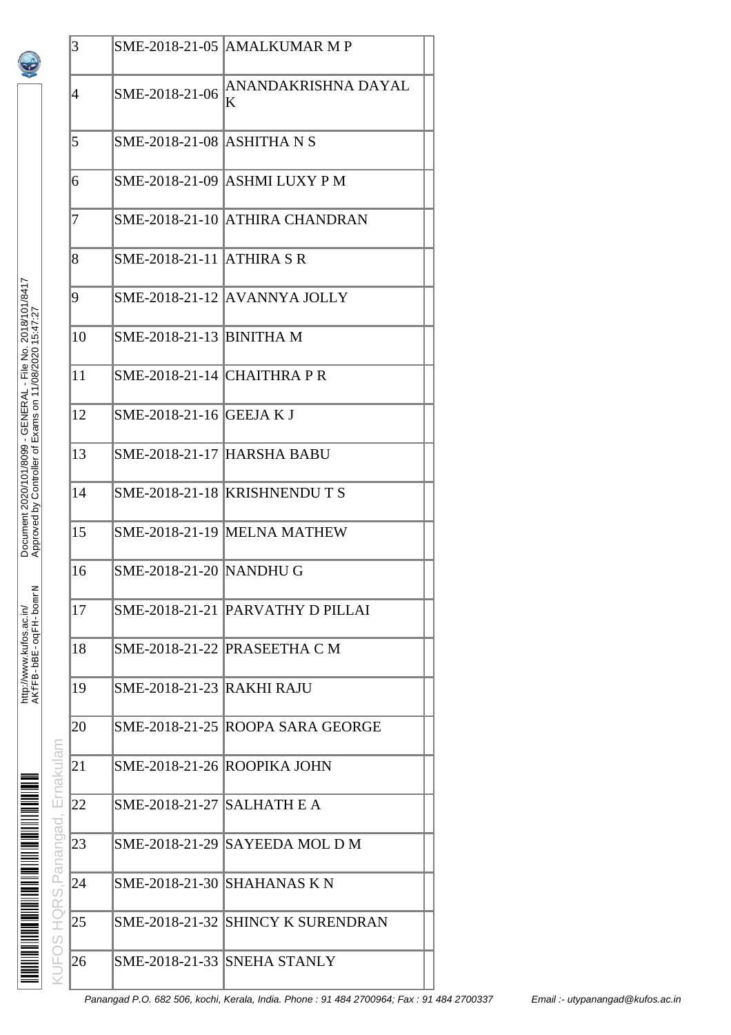|                           | 3  |                                   | SME-2018-21-05 AMALKUMAR M P      |
|---------------------------|----|-----------------------------------|-----------------------------------|
|                           | 4  | SME-2018-21-06                    | ANANDAKRISHNA DAYAL<br>K          |
|                           | 5  | SME-2018-21-08 ASHITHA N S        |                                   |
|                           | 6  |                                   | SME-2018-21-09  ASHMI LUXY P M    |
|                           | 7  |                                   | SME-2018-21-10 ATHIRA CHANDRAN    |
|                           | 8  | <b>SME-2018-21-11 ATHIRA S R</b>  |                                   |
|                           | 9  |                                   | SME-2018-21-12 AVANNYA JOLLY      |
|                           | 10 | SME-2018-21-13 BINITHA M          |                                   |
|                           | 11 | SME-2018-21-14 CHAITHRA P R       |                                   |
|                           | 12 | SME-2018-21-16 GEEJA K J          |                                   |
|                           | 13 | <b>SME-2018-21-17 HARSHA BABU</b> |                                   |
|                           | 14 |                                   | SME-2018-21-18 KRISHNENDUTS       |
|                           | 15 |                                   | SME-2018-21-19 MELNA MATHEW       |
|                           | 16 | SME-2018-21-20  NANDHU G          |                                   |
|                           | 17 |                                   | SME-2018-21-21 PARVATHY D PILLAI  |
|                           | 18 |                                   | SME-2018-21-22 PRASEETHA C M      |
|                           | 19 | <b>SME-2018-21-23 RAKHI RAJU</b>  |                                   |
|                           | 20 |                                   | SME-2018-21-25 ROOPA SARA GEORGE  |
|                           | 21 |                                   | SME-2018-21-26 ROOPIKA JOHN       |
|                           | 22 | SME-2018-21-27 SALHATH E A        |                                   |
|                           | 23 |                                   | SME-2018-21-29 SAYEEDA MOL D M    |
| HQRS, Panangad, Ernakulam | 24 |                                   | SME-2018-21-30   SHAHANAS K N     |
|                           | 25 |                                   | SME-2018-21-32 SHINCY K SURENDRAN |
| <b>UFOS</b>               | 26 |                                   | SME-2018-21-33 SNEHA STANLY       |
|                           |    |                                   |                                   |

Document 2020/101/8099 - GENERAL - File No. 2018/101/8417

Document 2020/101/8099 - GENERAL - File No. 2018/101/8417<br>Approved by Controller of Exams on 11/08/2020 15:47:27

AKfFB-bBE-oqFH-bomrN Approved by Controller of Exams on 11/08/2020 15:47:27

http://www.kufos.ac.in/

<u>ia in provincia de la provincia de la provincia de la provincia de la provincia de la provincia de la provinci</u>

http://www.kufos.ac.in/<br>אבלבּדַּפּוּ – אַבּק – ספּר